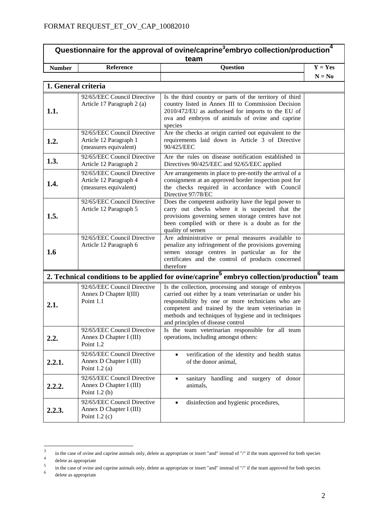## **Questionnaire for the approval of ovine/caprine<sup>3</sup>embryo collection/production<sup>4</sup> team**

| <b>Number</b>                      | Reference | Question | Yes<br>$=$                                |
|------------------------------------|-----------|----------|-------------------------------------------|
|                                    |           |          | N<br>$\mathbf{v} = \mathbf{N} \mathbf{0}$ |
| $\rightarrow$<br>lon onal onitorio |           |          |                                           |

| 1. General criteria |                                                                                |                                                                                                                                                                                                                                                                                                                      |  |  |
|---------------------|--------------------------------------------------------------------------------|----------------------------------------------------------------------------------------------------------------------------------------------------------------------------------------------------------------------------------------------------------------------------------------------------------------------|--|--|
| 1.1.                | 92/65/EEC Council Directive<br>Article 17 Paragraph 2 (a)                      | Is the third country or parts of the territory of third<br>country listed in Annex III to Commission Decision<br>2010/472/EU as authorised for imports to the EU of<br>ova and embryos of animals of ovine and caprine<br>species                                                                                    |  |  |
| 1.2.                | 92/65/EEC Council Directive<br>Article 12 Paragraph 1<br>(measures equivalent) | Are the checks at origin carried out equivalent to the<br>requirements laid down in Article 3 of Directive<br>90/425/EEC                                                                                                                                                                                             |  |  |
| 1.3.                | 92/65/EEC Council Directive<br>Article 12 Paragraph 2                          | Are the rules on disease notification established in<br>Directives 90/425/EEC and 92/65/EEC applied                                                                                                                                                                                                                  |  |  |
| 1.4.                | 92/65/EEC Council Directive<br>Article 12 Paragraph 4<br>(measures equivalent) | Are arrangements in place to pre-notify the arrival of a<br>consignment at an approved border inspection post for<br>the checks required in accordance with Council<br>Directive 97/78/EC                                                                                                                            |  |  |
| 1.5.                | 92/65/EEC Council Directive<br>Article 12 Paragraph 5                          | Does the competent authority have the legal power to<br>carry out checks where it is suspected that the<br>provisions governing semen storage centres have not<br>been complied with or there is a doubt as for the<br>quality of semen                                                                              |  |  |
| 1.6                 | 92/65/EEC Council Directive<br>Article 12 Paragraph 6                          | Are administrative or penal measures available to<br>penalize any infringement of the provisions governing<br>semen storage centres in particular as for the<br>certificates and the control of products concerned<br>therefore                                                                                      |  |  |
|                     |                                                                                | 2. Technical conditions to be applied for ovine/caprine <sup>5</sup> embryo collection/production <sup>6</sup> team                                                                                                                                                                                                  |  |  |
| 2.1.                | 92/65/EEC Council Directive<br>Annex D Chapter I(III)<br>Point 1.1             | Is the collection, processing and storage of embryos<br>carried out either by a team veterinarian or under his<br>responsibility by one or more technicians who are<br>competent and trained by the team veterinarian in<br>methods and techniques of hygiene and in techniques<br>and principles of disease control |  |  |
| 2.2.                | 92/65/EEC Council Directive<br>Annex D Chapter I (III)<br>Point 1.2            | Is the team veterinarian responsible for all team<br>operations, including amongst others:                                                                                                                                                                                                                           |  |  |
| 2.2.1.              | 92/65/EEC Council Directive<br>Annex D Chapter I (III)<br>Point $1.2$ (a)      | verification of the identity and health status<br>of the donor animal,                                                                                                                                                                                                                                               |  |  |
| 2.2.2.              | 92/65/EEC Council Directive<br>Annex D Chapter I (III)<br>Point $1.2(b)$       | sanitary handling and surgery of donor<br>$\bullet$<br>animals,                                                                                                                                                                                                                                                      |  |  |
| 2.2.3.              | 92/65/EEC Council Directive<br>Annex D Chapter I (III)<br>Point $1.2$ (c)      | disinfection and hygienic procedures,                                                                                                                                                                                                                                                                                |  |  |

 $\overline{3}$  $\frac{3}{4}$  in the case of ovine and caprine animals only, delete as appropriate or insert "and" instead of "/" if the team approved for both species

delete as appropriate

 $\frac{4}{5}$  delete as appropriate

 $\frac{5}{6}$  in the case of ovine and caprine animals only, delete as appropriate or insert "and" instead of "/" if the team approved for both species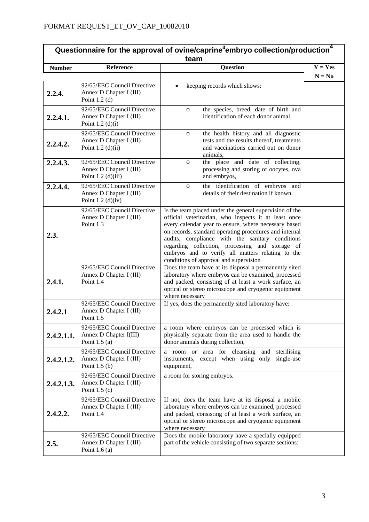| Questionnaire for the approval of ovine/caprine <sup>3</sup> embryo collection/production <sup>4</sup><br>team |                                                                                |                                                                                                                                                                                                                                                                                                                                                                                                                                        |           |
|----------------------------------------------------------------------------------------------------------------|--------------------------------------------------------------------------------|----------------------------------------------------------------------------------------------------------------------------------------------------------------------------------------------------------------------------------------------------------------------------------------------------------------------------------------------------------------------------------------------------------------------------------------|-----------|
| <b>Number</b>                                                                                                  | Reference                                                                      | <b>Question</b>                                                                                                                                                                                                                                                                                                                                                                                                                        | $Y = Yes$ |
| 2.2.4.                                                                                                         | 92/65/EEC Council Directive<br>Annex D Chapter I (III)<br>Point $1.2$ (d)      | keeping records which shows:                                                                                                                                                                                                                                                                                                                                                                                                           | $N = No$  |
| 2.2.4.1.                                                                                                       | 92/65/EEC Council Directive<br>Annex D Chapter I (III)<br>Point $1.2$ (d)(i)   | the species, breed, date of birth and<br>$\circ$<br>identification of each donor animal,                                                                                                                                                                                                                                                                                                                                               |           |
| 2.2.4.2.                                                                                                       | 92/65/EEC Council Directive<br>Annex D Chapter I (III)<br>Point $1.2$ (d)(ii)  | the health history and all diagnostic<br>$\circ$<br>tests and the results thereof, treatments<br>and vaccinations carried out on donor<br>animals,                                                                                                                                                                                                                                                                                     |           |
| 2.2.4.3.                                                                                                       | 92/65/EEC Council Directive<br>Annex D Chapter I (III)<br>Point $1.2$ (d)(iii) | the place and date of collecting,<br>$\circ$<br>processing and storing of oocytes, ova<br>and embryos,                                                                                                                                                                                                                                                                                                                                 |           |
| 2.2.4.4.                                                                                                       | 92/65/EEC Council Directive<br>Annex D Chapter I (III)<br>Point 1.2 (d)(iv)    | the identification of embryos and<br>$\circ$<br>details of their destination if known.                                                                                                                                                                                                                                                                                                                                                 |           |
| 2.3.                                                                                                           | 92/65/EEC Council Directive<br>Annex D Chapter I (III)<br>Point 1.3            | Is the team placed under the general supervision of the<br>official veterinarian, who inspects it at least once<br>every calendar year to ensure, where necessary based<br>on records, standard operating procedures and internal<br>audits, compliance with the sanitary conditions<br>regarding collection, processing and storage of<br>embryos and to verify all matters relating to the<br>conditions of approval and supervision |           |
| 2.4.1.                                                                                                         | 92/65/EEC Council Directive<br>Annex D Chapter I (III)<br>Point 1.4            | Does the team have at its disposal a permanently sited<br>laboratory where embryos can be examined, processed<br>and packed, consisting of at least a work surface, an<br>optical or stereo microscope and cryogenic equipment<br>where necessary                                                                                                                                                                                      |           |
| 2.4.2.1                                                                                                        | 92/65/EEC Council Directive<br>Annex D Chapter I (III)<br>Point 1.5            | If yes, does the permanently sited laboratory have:                                                                                                                                                                                                                                                                                                                                                                                    |           |
| 2.4.2.1.1.                                                                                                     | 92/65/EEC Council Directive<br>Annex D Chapter I(III)<br>Point $1.5$ (a)       | a room where embryos can be processed which is<br>physically separate from the area used to handle the<br>donor animals during collection,                                                                                                                                                                                                                                                                                             |           |
| 2.4.2.1.2.                                                                                                     | 92/65/EEC Council Directive<br>Annex D Chapter I (III)<br>Point $1.5(b)$       | a room or area for cleansing and<br>sterilising<br>instruments, except when using only<br>single-use<br>equipment,                                                                                                                                                                                                                                                                                                                     |           |
| 2.4.2.1.3.                                                                                                     | 92/65/EEC Council Directive<br>Annex D Chapter I (III)<br>Point $1.5(c)$       | a room for storing embryos.                                                                                                                                                                                                                                                                                                                                                                                                            |           |
| 2.4.2.2.                                                                                                       | 92/65/EEC Council Directive<br>Annex D Chapter I (III)<br>Point 1.4            | If not, does the team have at its disposal a mobile<br>laboratory where embryos can be examined, processed<br>and packed, consisting of at least a work surface, an<br>optical or stereo microscope and cryogenic equipment<br>where necessary                                                                                                                                                                                         |           |
| 2.5.                                                                                                           | 92/65/EEC Council Directive<br>Annex D Chapter I (III)<br>Point $1.6(a)$       | Does the mobile laboratory have a specially equipped<br>part of the vehicle consisting of two separate sections:                                                                                                                                                                                                                                                                                                                       |           |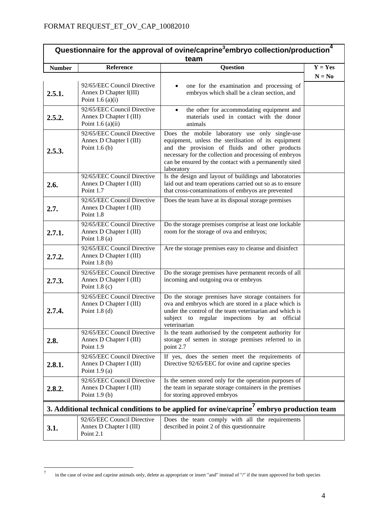| Questionnaire for the approval of ovine/caprine <sup>3</sup> embryo collection/production <sup>4</sup><br>team |                                                                               |                                                                                                                                                                                                                                                                                            |           |
|----------------------------------------------------------------------------------------------------------------|-------------------------------------------------------------------------------|--------------------------------------------------------------------------------------------------------------------------------------------------------------------------------------------------------------------------------------------------------------------------------------------|-----------|
| <b>Number</b>                                                                                                  | Reference                                                                     | <b>Question</b>                                                                                                                                                                                                                                                                            | $Y = Yes$ |
| 2.5.1.                                                                                                         | 92/65/EEC Council Directive<br>Annex D Chapter I(III)<br>Point 1.6 $(a)(i)$   | one for the examination and processing of<br>embryos which shall be a clean section, and                                                                                                                                                                                                   | $N = No$  |
| 2.5.2.                                                                                                         | 92/65/EEC Council Directive<br>Annex D Chapter I (III)<br>Point $1.6$ (a)(ii) | the other for accommodating equipment and<br>$\bullet$<br>materials used in contact with the donor<br>animals                                                                                                                                                                              |           |
| 2.5.3.                                                                                                         | 92/65/EEC Council Directive<br>Annex D Chapter I (III)<br>Point $1.6(b)$      | Does the mobile laboratory use only single-use<br>equipment, unless the sterilisation of its equipment<br>and the provision of fluids and other products<br>necessary for the collection and processing of embryos<br>can be ensured by the contact with a permanently sited<br>laboratory |           |
| 2.6.                                                                                                           | 92/65/EEC Council Directive<br>Annex D Chapter I (III)<br>Point 1.7           | Is the design and layout of buildings and laboratories<br>laid out and team operations carried out so as to ensure<br>that cross-contaminations of embryos are prevented                                                                                                                   |           |
| 2.7.                                                                                                           | 92/65/EEC Council Directive<br>Annex D Chapter I (III)<br>Point 1.8           | Does the team have at its disposal storage premises                                                                                                                                                                                                                                        |           |
| 2.7.1.                                                                                                         | 92/65/EEC Council Directive<br>Annex D Chapter I (III)<br>Point $1.8$ (a)     | Do the storage premises comprise at least one lockable<br>room for the storage of ova and embryos;                                                                                                                                                                                         |           |
| 2.7.2.                                                                                                         | 92/65/EEC Council Directive<br>Annex D Chapter I (III)<br>Point $1.8(b)$      | Are the storage premises easy to cleanse and disinfect                                                                                                                                                                                                                                     |           |
| 2.7.3.                                                                                                         | 92/65/EEC Council Directive<br>Annex D Chapter I (III)<br>Point $1.8$ (c)     | Do the storage premises have permanent records of all<br>incoming and outgoing ova or embryos                                                                                                                                                                                              |           |
| 2.7.4.                                                                                                         | 92/65/EEC Council Directive<br>Annex D Chapter I (III)<br>Point $1.8$ (d)     | Do the storage premises have storage containers for<br>ova and embryos which are stored in a place which is<br>under the control of the team veterinarian and which is<br>subject to regular inspections by an official<br>veterinarian                                                    |           |
| 2.8.                                                                                                           | 92/65/EEC Council Directive<br>Annex D Chapter I (III)<br>Point 1.9           | Is the team authorised by the competent authority for<br>storage of semen in storage premises referred to in<br>point 2.7                                                                                                                                                                  |           |
| 2.8.1.                                                                                                         | 92/65/EEC Council Directive<br>Annex D Chapter I (III)<br>Point $1.9(a)$      | If yes, does the semen meet the requirements of<br>Directive 92/65/EEC for ovine and caprine species                                                                                                                                                                                       |           |
| 2.8.2.                                                                                                         | 92/65/EEC Council Directive<br>Annex D Chapter I (III)<br>Point $1.9(b)$      | Is the semen stored only for the operation purposes of<br>the team in separate storage containers in the premises<br>for storing approved embryos                                                                                                                                          |           |
| 3. Additional technical conditions to be applied for ovine/caprine <sup>7</sup> embryo production team         |                                                                               |                                                                                                                                                                                                                                                                                            |           |
| 3.1.                                                                                                           | 92/65/EEC Council Directive<br>Annex D Chapter I (III)<br>Point 2.1           | Does the team comply with all the requirements<br>described in point 2 of this questionnaire                                                                                                                                                                                               |           |

 $\tau$ in the case of ovine and caprine animals only, delete as appropriate or insert "and" instead of "/" if the team approved for both species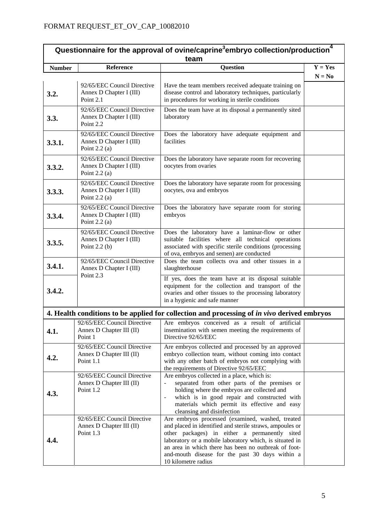| Questionnaire for the approval of ovine/caprine <sup>3</sup> embryo collection/production <sup>4</sup><br>team |                                                                           |                                                                                                                                                                                                                                                                                                                                                            |           |
|----------------------------------------------------------------------------------------------------------------|---------------------------------------------------------------------------|------------------------------------------------------------------------------------------------------------------------------------------------------------------------------------------------------------------------------------------------------------------------------------------------------------------------------------------------------------|-----------|
| <b>Number</b>                                                                                                  | Reference                                                                 | <b>Question</b>                                                                                                                                                                                                                                                                                                                                            | $Y = Yes$ |
|                                                                                                                |                                                                           |                                                                                                                                                                                                                                                                                                                                                            | $N = No$  |
| 3.2.                                                                                                           | 92/65/EEC Council Directive<br>Annex D Chapter I (III)<br>Point 2.1       | Have the team members received adequate training on<br>disease control and laboratory techniques, particularly<br>in procedures for working in sterile conditions                                                                                                                                                                                          |           |
| 3.3.                                                                                                           | 92/65/EEC Council Directive<br>Annex D Chapter I (III)<br>Point 2.2       | Does the team have at its disposal a permanently sited<br>laboratory                                                                                                                                                                                                                                                                                       |           |
| 3.3.1.                                                                                                         | 92/65/EEC Council Directive<br>Annex D Chapter I (III)<br>Point $2.2$ (a) | Does the laboratory have adequate equipment and<br>facilities                                                                                                                                                                                                                                                                                              |           |
| 3.3.2.                                                                                                         | 92/65/EEC Council Directive<br>Annex D Chapter I (III)<br>Point $2.2$ (a) | Does the laboratory have separate room for recovering<br>oocytes from ovaries                                                                                                                                                                                                                                                                              |           |
| 3.3.3.                                                                                                         | 92/65/EEC Council Directive<br>Annex D Chapter I (III)<br>Point $2.2$ (a) | Does the laboratory have separate room for processing<br>oocytes, ova and embryos                                                                                                                                                                                                                                                                          |           |
| 3.3.4.                                                                                                         | 92/65/EEC Council Directive<br>Annex D Chapter I (III)<br>Point $2.2$ (a) | Does the laboratory have separate room for storing<br>embryos                                                                                                                                                                                                                                                                                              |           |
| 3.3.5.                                                                                                         | 92/65/EEC Council Directive<br>Annex D Chapter I (III)<br>Point $2.2$ (b) | Does the laboratory have a laminar-flow or other<br>suitable facilities where all technical operations<br>associated with specific sterile conditions (processing<br>of ova, embryos and semen) are conducted                                                                                                                                              |           |
| 3.4.1.                                                                                                         | 92/65/EEC Council Directive<br>Annex D Chapter I (III)<br>Point 2.3       | Does the team collects ova and other tissues in a<br>slaughterhouse                                                                                                                                                                                                                                                                                        |           |
| 3.4.2.                                                                                                         |                                                                           | If yes, does the team have at its disposal suitable<br>equipment for the collection and transport of the<br>ovaries and other tissues to the processing laboratory<br>in a hygienic and safe manner                                                                                                                                                        |           |
|                                                                                                                |                                                                           | 4. Health conditions to be applied for collection and processing of in vivo derived embryos                                                                                                                                                                                                                                                                |           |
| 4.1.                                                                                                           | Annex D Chapter III (II)<br>Point 1                                       | 92/65/EEC Council Directive   Are embryos conceived as a result of artificial  <br>insemination with semen meeting the requirements of<br>Directive 92/65/EEC                                                                                                                                                                                              |           |
| 4.2.                                                                                                           | 92/65/EEC Council Directive<br>Annex D Chapter III (II)<br>Point 1.1      | Are embryos collected and processed by an approved<br>embryo collection team, without coming into contact<br>with any other batch of embryos not complying with<br>the requirements of Directive 92/65/EEC                                                                                                                                                 |           |
| 4.3.                                                                                                           | 92/65/EEC Council Directive<br>Annex D Chapter III (II)<br>Point 1.2      | Are embryos collected in a place, which is:<br>separated from other parts of the premises or<br>$\overline{\phantom{0}}$<br>holding where the embryos are collected and<br>which is in good repair and constructed with<br>$\blacksquare$<br>materials which permit its effective and easy<br>cleansing and disinfection                                   |           |
| 4.4.                                                                                                           | 92/65/EEC Council Directive<br>Annex D Chapter III (II)<br>Point 1.3      | Are embryos processed (examined, washed, treated<br>and placed in identified and sterile straws, ampoules or<br>other packages) in either a permanently sited<br>laboratory or a mobile laboratory which, is situated in<br>an area in which there has been no outbreak of foot-<br>and-mouth disease for the past 30 days within a<br>10 kilometre radius |           |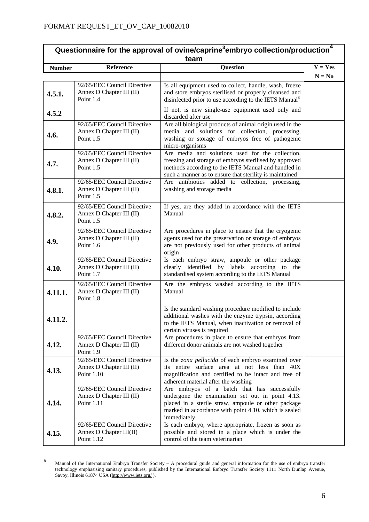| 4<br>Questionnaire for the approval of ovine/caprine <sup>3</sup> embryo collection/production <sup>4</sup><br>team |                                                                       |                                                                                                                                                                                                                                 |           |
|---------------------------------------------------------------------------------------------------------------------|-----------------------------------------------------------------------|---------------------------------------------------------------------------------------------------------------------------------------------------------------------------------------------------------------------------------|-----------|
| <b>Number</b>                                                                                                       | Reference                                                             | <b>Question</b>                                                                                                                                                                                                                 | $Y = Yes$ |
|                                                                                                                     |                                                                       |                                                                                                                                                                                                                                 | $N = No$  |
| 4.5.1.                                                                                                              | 92/65/EEC Council Directive<br>Annex D Chapter III (II)<br>Point 1.4  | Is all equipment used to collect, handle, wash, freeze<br>and store embryos sterilised or properly cleansed and<br>disinfected prior to use according to the IETS Manual <sup>8</sup>                                           |           |
| 4.5.2                                                                                                               |                                                                       | If not, is new single-use equipment used only and<br>discarded after use                                                                                                                                                        |           |
| 4.6.                                                                                                                | 92/65/EEC Council Directive<br>Annex D Chapter III (II)<br>Point 1.5  | Are all biological products of animal origin used in the<br>media and solutions for collection, processing,<br>washing or storage of embryos free of pathogenic<br>micro-organisms                                              |           |
| 4.7.                                                                                                                | 92/65/EEC Council Directive<br>Annex D Chapter III (II)<br>Point 1.5  | Are media and solutions used for the collection,<br>freezing and storage of embryos sterilised by approved<br>methods according to the IETS Manual and handled in<br>such a manner as to ensure that sterility is maintained    |           |
| 4.8.1.                                                                                                              | 92/65/EEC Council Directive<br>Annex D Chapter III (II)<br>Point 1.5  | Are antibiotics added to collection, processing,<br>washing and storage media                                                                                                                                                   |           |
| 4.8.2.                                                                                                              | 92/65/EEC Council Directive<br>Annex D Chapter III (II)<br>Point 1.5  | If yes, are they added in accordance with the IETS<br>Manual                                                                                                                                                                    |           |
| 4.9.                                                                                                                | 92/65/EEC Council Directive<br>Annex D Chapter III (II)<br>Point 1.6  | Are procedures in place to ensure that the cryogenic<br>agents used for the preservation or storage of embryos<br>are not previously used for other products of animal<br>origin                                                |           |
| 4.10.                                                                                                               | 92/65/EEC Council Directive<br>Annex D Chapter III (II)<br>Point 1.7  | Is each embryo straw, ampoule or other package<br>clearly identified by labels according to the<br>standardised system according to the IETS Manual                                                                             |           |
| 4.11.1.                                                                                                             | 92/65/EEC Council Directive<br>Annex D Chapter III (II)<br>Point 1.8  | Are the embryos washed according to the IETS<br>Manual                                                                                                                                                                          |           |
| 4.11.2.                                                                                                             |                                                                       | Is the standard washing procedure modified to include<br>additional washes with the enzyme trypsin, according<br>to the IETS Manual, when inactivation or removal of<br>certain viruses is required                             |           |
| 4.12.                                                                                                               | 92/65/EEC Council Directive<br>Annex D Chapter III (II)<br>Point 1.9  | Are procedures in place to ensure that embryos from<br>different donor animals are not washed together                                                                                                                          |           |
| 4.13.                                                                                                               | 92/65/EEC Council Directive<br>Annex D Chapter III (II)<br>Point 1.10 | Is the zona pellucida of each embryo examined over<br>its entire surface area at not less than 40X<br>magnification and certified to be intact and free of<br>adherent material after the washing                               |           |
| 4.14.                                                                                                               | 92/65/EEC Council Directive<br>Annex D Chapter III (II)<br>Point 1.11 | Are embryos of a batch that has successfully<br>undergone the examination set out in point 4.13.<br>placed in a sterile straw, ampoule or other package<br>marked in accordance with point 4.10. which is sealed<br>immediately |           |
| 4.15.                                                                                                               | 92/65/EEC Council Directive<br>Annex D Chapter III(II)<br>Point 1.12  | Is each embryo, where appropriate, frozen as soon as<br>possible and stored in a place which is under the<br>control of the team veterinarian                                                                                   |           |

<sup>8</sup> Manual of the International Embryo Transfer Society – A procedural guide and general information for the use of embryo transfer technology emphasising sanitary procedures, published by the International Embryo Transfer Society 1111 North Dunlap Avenue, Savoy, Illinois 61874 USA (http://www.iets.org/).

1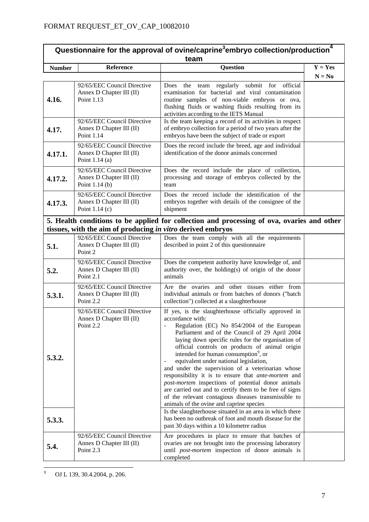| Questionnaire for the approval of ovine/caprine <sup>3</sup> embryo collection/production <sup>4</sup><br>team |                                                                                                                                                           |                                                                                                                                                                                                                                                                                                                                                                                                                                                                                                                                                                                                                                                                                                                                                                                                                                                                                     |           |  |  |
|----------------------------------------------------------------------------------------------------------------|-----------------------------------------------------------------------------------------------------------------------------------------------------------|-------------------------------------------------------------------------------------------------------------------------------------------------------------------------------------------------------------------------------------------------------------------------------------------------------------------------------------------------------------------------------------------------------------------------------------------------------------------------------------------------------------------------------------------------------------------------------------------------------------------------------------------------------------------------------------------------------------------------------------------------------------------------------------------------------------------------------------------------------------------------------------|-----------|--|--|
| <b>Number</b>                                                                                                  | Reference                                                                                                                                                 | <b>Question</b>                                                                                                                                                                                                                                                                                                                                                                                                                                                                                                                                                                                                                                                                                                                                                                                                                                                                     | $Y = Yes$ |  |  |
|                                                                                                                |                                                                                                                                                           |                                                                                                                                                                                                                                                                                                                                                                                                                                                                                                                                                                                                                                                                                                                                                                                                                                                                                     | $N = No$  |  |  |
| 4.16.                                                                                                          | 92/65/EEC Council Directive<br>Annex D Chapter III (II)<br>Point 1.13                                                                                     | the team regularly submit for official<br>Does<br>examination for bacterial and viral contamination<br>routine samples of non-viable embryos or ova,<br>flushing fluids or washing fluids resulting from its<br>activities according to the IETS Manual                                                                                                                                                                                                                                                                                                                                                                                                                                                                                                                                                                                                                             |           |  |  |
| 4.17.                                                                                                          | 92/65/EEC Council Directive<br>Annex D Chapter III (II)<br>Point 1.14                                                                                     | Is the team keeping a record of its activities in respect<br>of embryo collection for a period of two years after the<br>embryos have been the subject of trade or export                                                                                                                                                                                                                                                                                                                                                                                                                                                                                                                                                                                                                                                                                                           |           |  |  |
| 4.17.1.                                                                                                        | 92/65/EEC Council Directive<br>Annex D Chapter III (II)<br>Point $1.14$ (a)                                                                               | Does the record include the breed, age and individual<br>identification of the donor animals concerned                                                                                                                                                                                                                                                                                                                                                                                                                                                                                                                                                                                                                                                                                                                                                                              |           |  |  |
| 4.17.2.                                                                                                        | 92/65/EEC Council Directive<br>Annex D Chapter III (II)<br>Point $1.14$ (b)                                                                               | Does the record include the place of collection,<br>processing and storage of embryos collected by the<br>team                                                                                                                                                                                                                                                                                                                                                                                                                                                                                                                                                                                                                                                                                                                                                                      |           |  |  |
| 4.17.3.                                                                                                        | 92/65/EEC Council Directive<br>Annex D Chapter III (II)<br>Point $1.14(c)$                                                                                | Does the record include the identification of the<br>embryos together with details of the consignee of the<br>shipment                                                                                                                                                                                                                                                                                                                                                                                                                                                                                                                                                                                                                                                                                                                                                              |           |  |  |
|                                                                                                                | 5. Health conditions to be applied for collection and processing of ova, ovaries and other<br>tissues, with the aim of producing in vitro derived embryos |                                                                                                                                                                                                                                                                                                                                                                                                                                                                                                                                                                                                                                                                                                                                                                                                                                                                                     |           |  |  |
| 5.1.                                                                                                           | 92/65/EEC Council Directive<br>Annex D Chapter III (II)<br>Point 2                                                                                        | Does the team comply with all the requirements<br>described in point 2 of this questionnaire                                                                                                                                                                                                                                                                                                                                                                                                                                                                                                                                                                                                                                                                                                                                                                                        |           |  |  |
| 5.2.                                                                                                           | 92/65/EEC Council Directive<br>Annex D Chapter III (II)<br>Point 2.1                                                                                      | Does the competent authority have knowledge of, and<br>authority over, the holding(s) of origin of the donor<br>animals                                                                                                                                                                                                                                                                                                                                                                                                                                                                                                                                                                                                                                                                                                                                                             |           |  |  |
| 5.3.1.                                                                                                         | 92/65/EEC Council Directive<br>Annex D Chapter III (II)<br>Point 2.2                                                                                      | Are the ovaries and other tissues either from<br>individual animals or from batches of donors ("batch<br>collection") collected at a slaughterhouse                                                                                                                                                                                                                                                                                                                                                                                                                                                                                                                                                                                                                                                                                                                                 |           |  |  |
| 5.3.2.<br>5.3.3.                                                                                               | 92/65/EEC Council Directive<br>Annex D Chapter III (II)<br>Point 2.2                                                                                      | If yes, is the slaughterhouse officially approved in<br>accordance with:<br>Regulation (EC) No 854/2004 of the European<br>Parliament and of the Council of 29 April 2004<br>laying down specific rules for the organisation of<br>official controls on products of animal origin<br>intended for human consumption <sup>9</sup> , or<br>equivalent under national legislation,<br>and under the supervision of a veterinarian whose<br>responsibility it is to ensure that ante-mortem and<br>post-mortem inspections of potential donor animals<br>are carried out and to certify them to be free of signs<br>of the relevant contagious diseases transmissible to<br>animals of the ovine and caprine species<br>Is the slaughterhouse situated in an area in which there<br>has been no outbreak of foot and mouth disease for the<br>past 30 days within a 10 kilometre radius |           |  |  |
| 5.4.                                                                                                           | 92/65/EEC Council Directive<br>Annex D Chapter III (II)<br>Point 2.3                                                                                      | Are procedures in place to ensure that batches of<br>ovaries are not brought into the processing laboratory<br>until <i>post-mortem</i> inspection of donor animals is<br>completed                                                                                                                                                                                                                                                                                                                                                                                                                                                                                                                                                                                                                                                                                                 |           |  |  |

<sup>–&</sup>lt;br>9 OJ L 139, 30.4.2004, p. 206.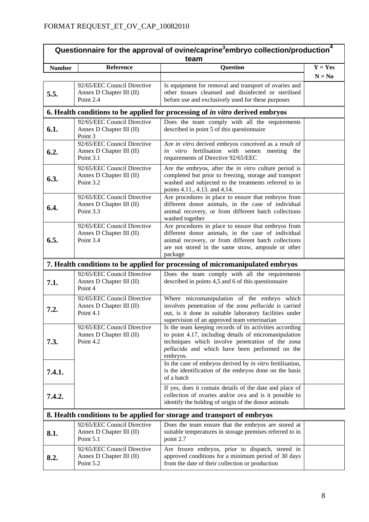| Questionnaire for the approval of ovine/caprine <sup>3</sup> embryo collection/production <sup>4</sup><br>team |                                                                      |                                                                                                                                                                                                                                    |           |  |
|----------------------------------------------------------------------------------------------------------------|----------------------------------------------------------------------|------------------------------------------------------------------------------------------------------------------------------------------------------------------------------------------------------------------------------------|-----------|--|
| <b>Number</b>                                                                                                  | Reference                                                            | <b>Question</b>                                                                                                                                                                                                                    | $Y = Yes$ |  |
|                                                                                                                |                                                                      |                                                                                                                                                                                                                                    | $N = No$  |  |
| 5.5.                                                                                                           | 92/65/EEC Council Directive<br>Annex D Chapter III (II)<br>Point 2.4 | Is equipment for removal and transport of ovaries and<br>other tissues cleansed and disinfected or sterilised<br>before use and exclusively used for these purposes                                                                |           |  |
|                                                                                                                |                                                                      | 6. Health conditions to be applied for processing of <i>in vitro</i> derived embryos                                                                                                                                               |           |  |
| 6.1.                                                                                                           | 92/65/EEC Council Directive<br>Annex D Chapter III (II)<br>Point 3   | Does the team comply with all the requirements<br>described in point 5 of this questionnaire                                                                                                                                       |           |  |
| 6.2.                                                                                                           | 92/65/EEC Council Directive<br>Annex D Chapter III (II)<br>Point 3.1 | Are in vitro derived embryos conceived as a result of<br>in vitro fertilisation with semen meeting the<br>requirements of Directive 92/65/EEC                                                                                      |           |  |
| 6.3.                                                                                                           | 92/65/EEC Council Directive<br>Annex D Chapter III (II)<br>Point 3.2 | Are the embryos, after the <i>in vitro</i> culture period is<br>completed but prior to freezing, storage and transport<br>washed and subjected to the treatments referred to in<br>points 4.11., 4.13. and 4.14.                   |           |  |
| 6.4.                                                                                                           | 92/65/EEC Council Directive<br>Annex D Chapter III (II)<br>Point 3.3 | Are procedures in place to ensure that embryos from<br>different donor animals, in the case of individual<br>animal recovery, or from different batch collections<br>washed together                                               |           |  |
| 6.5.                                                                                                           | 92/65/EEC Council Directive<br>Annex D Chapter III (II)<br>Point 3.4 | Are procedures in place to ensure that embryos from<br>different donor animals, in the case of individual<br>animal recovery, or from different batch collections<br>are not stored in the same straw, ampoule or other<br>package |           |  |
|                                                                                                                |                                                                      | 7. Health conditions to be applied for processing of micromanipulated embryos                                                                                                                                                      |           |  |
| 7.1.                                                                                                           | 92/65/EEC Council Directive<br>Annex D Chapter III (II)<br>Point 4   | Does the team comply with all the requirements<br>described in points 4,5 and 6 of this questionnaire                                                                                                                              |           |  |
| 7.2.                                                                                                           | 92/65/EEC Council Directive<br>Annex D Chapter III (II)<br>Point 4.1 | Where micromanipulation of the embryo which<br>involves penetration of the zona pellucida is carried<br>out, is it done in suitable laboratory facilities under<br>supervision of an approved team veterinarian                    |           |  |
| 7.3.                                                                                                           | 92/65/EEC Council Directive<br>Annex D Chapter III (II)<br>Point 4.2 | Is the team keeping records of its activities according<br>to point 4.17, including details of micromanipulation<br>techniques which involve penetration of the zona<br>pellucida and which have been performed on the<br>embryos. |           |  |
| 7.4.1.                                                                                                         |                                                                      | In the case of embryos derived by in vitro fertilisation,<br>is the identification of the embryos done on the basis<br>of a batch                                                                                                  |           |  |
| 7.4.2.                                                                                                         |                                                                      | If yes, does it contain details of the date and place of<br>collection of ovaries and/or ova and is it possible to<br>identify the holding of origin of the donor animals                                                          |           |  |
|                                                                                                                |                                                                      | 8. Health conditions to be applied for storage and transport of embryos                                                                                                                                                            |           |  |
| 8.1.                                                                                                           | 92/65/EEC Council Directive<br>Annex D Chapter III (II)<br>Point 5.1 | Does the team ensure that the embryos are stored at<br>suitable temperatures in storage premises referred to in<br>point 2.7                                                                                                       |           |  |
| 8.2.                                                                                                           | 92/65/EEC Council Directive<br>Annex D Chapter III (II)<br>Point 5.2 | Are frozen embryos, prior to dispatch, stored in<br>approved conditions for a minimum period of 30 days<br>from the date of their collection or production                                                                         |           |  |